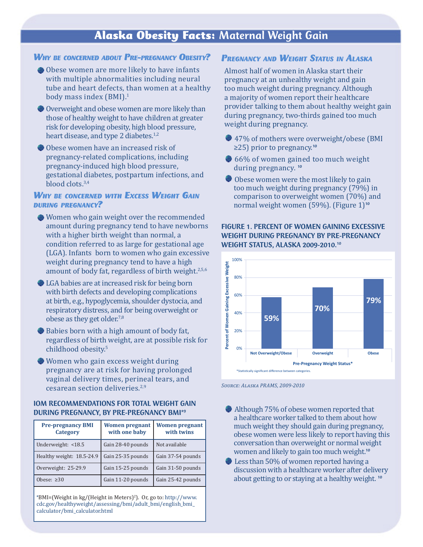# Alaska Obesity Facts: Maternal Weight Gain

#### *Why be concerned about Pre-pregnancy Obesity?*

- Obese women are more likely to have infants with multiple abnormalities including neural tube and heart defects, than women at a healthy body mass index (BMI).1
- Overweight and obese women are more likely than those of healthy weight to have children at greater risk for developing obesity, high blood pressure, heart disease, and type 2 diabetes.<sup>1,2</sup>
- Obese women have an increased risk of pregnancy-related complications, including pregnancy-induced high blood pressure, gestational diabetes, postpartum infections, and blood clots.3,4

### *Why be concerned with Excess Weight Gain during pregnancy?*

- Women who gain weight over the recommended amount during pregnancy tend to have newborns with a higher birth weight than normal, a condition referred to as large for gestational age (LGA). Infants born to women who gain excessive weight during pregnancy tend to have a high amount of body fat, regardless of birth weight.<sup>2,5,6</sup>
- LGA babies are at increased risk for being born with birth defects and developing complications at birth, e.g., hypoglycemia, shoulder dystocia, and respiratory distress, and for being overweight or obese as they get older.7,8
- Babies born with a high amount of body fat, regardless of birth weight, are at possible risk for childhood obesity.5
- Women who gain excess weight during pregnancy are at risk for having prolonged vaginal delivery times, perineal tears, and cesarean section deliveries.2,9

### IOM RECOMMENDATIONS FOR TOTAL WEIGHT GAIN DURING PREGNANCY, BY PRE-PREGNANCY BMI\*9

| <b>Pre-pregnancy BMI</b><br><b>Category</b> | <b>Women pregnant</b><br>with one baby | <b>Women pregnant</b><br>with twins |
|---------------------------------------------|----------------------------------------|-------------------------------------|
| Underweight: <18.5                          | Gain 28-40 pounds                      | Not available                       |
| Healthy weight: 18.5-24.9                   | Gain 25-35 pounds                      | Gain 37-54 pounds                   |
| Overweight: 25-29.9                         | Gain 15-25 pounds                      | Gain 31-50 pounds                   |
| Obese: $\geq 30$                            | Gain 11-20 pounds                      | Gain 25-42 pounds                   |

\*BMI=(Weight in kg/(Height in Meters)<sup>2</sup> ). Or, go to: http://www. cdc.gov/healthyweight/assessing/bmi/adult\_bmi/english\_bmi\_ calculator/bmi\_calculator.html

## *Pregnancy and Weight Status in Alaska*

Almost half of women in Alaska start their pregnancy at an unhealthy weight and gain too much weight during pregnancy. Although a majority of women report their healthcare provider talking to them about healthy weight gain during pregnancy, two-thirds gained too much weight during pregnancy.

- 47% of mothers were overweight/obese (BMI) ≥25) prior to pregnancy.<sup>10</sup>
- $66%$  of women gained too much weight during pregnancy. <sup>10</sup>
- Obese women were the most likely to gain too much weight during pregnancy (79%) in comparison to overweight women (70%) and normal weight women (59%). (Figure 1)<sup>10</sup>

### FIGURE 1. PERCENT OF WOMEN GAINING EXCESSIVE WEIGHT DURING PREGNANCY BY PRE-PREGNANCY WEIGHT STATUS, ALASKA 2009-2010.10



*Source: Alaska PRAMS, 2009-2010*

- Although 75% of obese women reported that a healthcare worker talked to them about how much weight they should gain during pregnancy, obese women were less likely to report having this conversation than overweight or normal weight women and likely to gain too much weight.<sup>10</sup>
- Less than 50% of women reported having a discussion with a healthcare worker after delivery about getting to or staying at a healthy weight.<sup>10</sup>